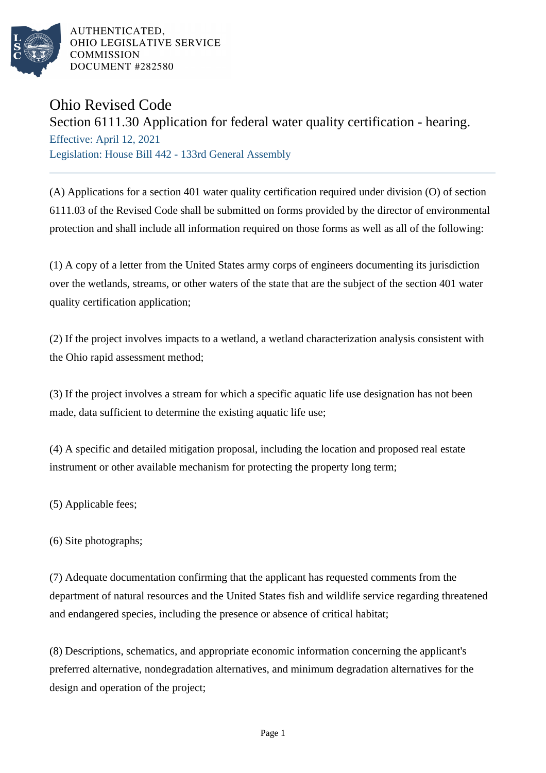

AUTHENTICATED. OHIO LEGISLATIVE SERVICE **COMMISSION** DOCUMENT #282580

## Ohio Revised Code

## Section 6111.30 Application for federal water quality certification - hearing.

Effective: April 12, 2021 Legislation: House Bill 442 - 133rd General Assembly

(A) Applications for a section 401 water quality certification required under division (O) of section 6111.03 of the Revised Code shall be submitted on forms provided by the director of environmental protection and shall include all information required on those forms as well as all of the following:

(1) A copy of a letter from the United States army corps of engineers documenting its jurisdiction over the wetlands, streams, or other waters of the state that are the subject of the section 401 water quality certification application;

(2) If the project involves impacts to a wetland, a wetland characterization analysis consistent with the Ohio rapid assessment method;

(3) If the project involves a stream for which a specific aquatic life use designation has not been made, data sufficient to determine the existing aquatic life use;

(4) A specific and detailed mitigation proposal, including the location and proposed real estate instrument or other available mechanism for protecting the property long term;

(5) Applicable fees;

(6) Site photographs;

(7) Adequate documentation confirming that the applicant has requested comments from the department of natural resources and the United States fish and wildlife service regarding threatened and endangered species, including the presence or absence of critical habitat;

(8) Descriptions, schematics, and appropriate economic information concerning the applicant's preferred alternative, nondegradation alternatives, and minimum degradation alternatives for the design and operation of the project;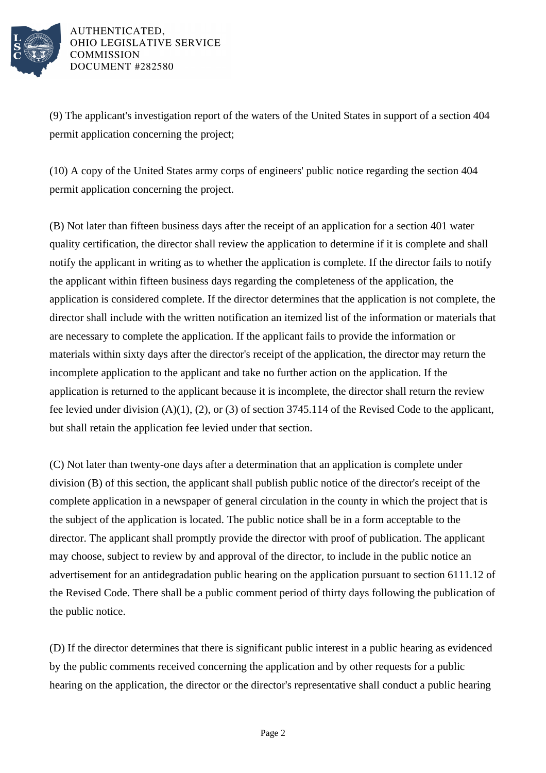

AUTHENTICATED, OHIO LEGISLATIVE SERVICE **COMMISSION** DOCUMENT #282580

(9) The applicant's investigation report of the waters of the United States in support of a section 404 permit application concerning the project;

(10) A copy of the United States army corps of engineers' public notice regarding the section 404 permit application concerning the project.

(B) Not later than fifteen business days after the receipt of an application for a section 401 water quality certification, the director shall review the application to determine if it is complete and shall notify the applicant in writing as to whether the application is complete. If the director fails to notify the applicant within fifteen business days regarding the completeness of the application, the application is considered complete. If the director determines that the application is not complete, the director shall include with the written notification an itemized list of the information or materials that are necessary to complete the application. If the applicant fails to provide the information or materials within sixty days after the director's receipt of the application, the director may return the incomplete application to the applicant and take no further action on the application. If the application is returned to the applicant because it is incomplete, the director shall return the review fee levied under division (A)(1), (2), or (3) of section 3745.114 of the Revised Code to the applicant, but shall retain the application fee levied under that section.

(C) Not later than twenty-one days after a determination that an application is complete under division (B) of this section, the applicant shall publish public notice of the director's receipt of the complete application in a newspaper of general circulation in the county in which the project that is the subject of the application is located. The public notice shall be in a form acceptable to the director. The applicant shall promptly provide the director with proof of publication. The applicant may choose, subject to review by and approval of the director, to include in the public notice an advertisement for an antidegradation public hearing on the application pursuant to section 6111.12 of the Revised Code. There shall be a public comment period of thirty days following the publication of the public notice.

(D) If the director determines that there is significant public interest in a public hearing as evidenced by the public comments received concerning the application and by other requests for a public hearing on the application, the director or the director's representative shall conduct a public hearing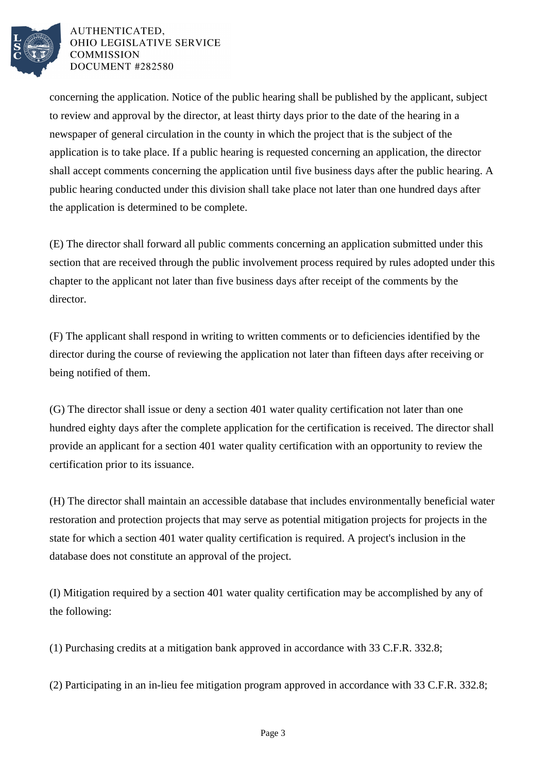

## AUTHENTICATED. OHIO LEGISLATIVE SERVICE **COMMISSION** DOCUMENT #282580

concerning the application. Notice of the public hearing shall be published by the applicant, subject to review and approval by the director, at least thirty days prior to the date of the hearing in a newspaper of general circulation in the county in which the project that is the subject of the application is to take place. If a public hearing is requested concerning an application, the director shall accept comments concerning the application until five business days after the public hearing. A public hearing conducted under this division shall take place not later than one hundred days after the application is determined to be complete.

(E) The director shall forward all public comments concerning an application submitted under this section that are received through the public involvement process required by rules adopted under this chapter to the applicant not later than five business days after receipt of the comments by the director.

(F) The applicant shall respond in writing to written comments or to deficiencies identified by the director during the course of reviewing the application not later than fifteen days after receiving or being notified of them.

(G) The director shall issue or deny a section 401 water quality certification not later than one hundred eighty days after the complete application for the certification is received. The director shall provide an applicant for a section 401 water quality certification with an opportunity to review the certification prior to its issuance.

(H) The director shall maintain an accessible database that includes environmentally beneficial water restoration and protection projects that may serve as potential mitigation projects for projects in the state for which a section 401 water quality certification is required. A project's inclusion in the database does not constitute an approval of the project.

(I) Mitigation required by a section 401 water quality certification may be accomplished by any of the following:

(1) Purchasing credits at a mitigation bank approved in accordance with 33 C.F.R. 332.8;

(2) Participating in an in-lieu fee mitigation program approved in accordance with 33 C.F.R. 332.8;